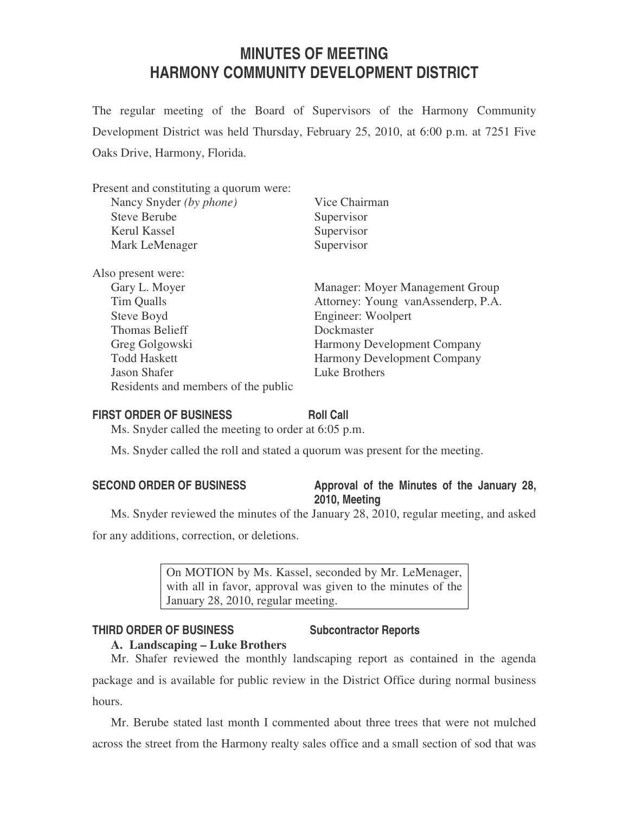# **MINUTES OF MEETING HARMONY COMMUNITY DEVELOPMENT DISTRICT**

The regular meeting of the Board of Supervisors of the Harmony Community Development District was held Thursday, February 25, 2010, at 6:00 p.m. at 7251 Five Oaks Drive, Harmony, Florida.

| Vice Chairman                      |
|------------------------------------|
| Supervisor                         |
| Supervisor                         |
| Supervisor                         |
|                                    |
| Manager: Moyer Management Group    |
| Attorney: Young vanAssenderp, P.A. |
| Engineer: Woolpert                 |
| Dockmaster                         |
| <b>Harmony Development Company</b> |
| <b>Harmony Development Company</b> |
| Luke Brothers                      |
|                                    |
|                                    |

### **FIRST ORDER OF BUSINESS Roll Call**

Ms. Snyder called the meeting to order at 6:05 p.m.

Ms. Snyder called the roll and stated a quorum was present for the meeting.

# SECOND ORDER OF BUSINESS Approval of the Minutes of the January 28, **2010, Meeting**

Ms. Snyder reviewed the minutes of the January 28, 2010, regular meeting, and asked for any additions, correction, or deletions.

> On MOTION by Ms. Kassel, seconded by Mr. LeMenager, with all in favor, approval was given to the minutes of the January 28, 2010, regular meeting.

# **THIRD ORDER OF BUSINESS Subcontractor Reports**

# **A. Landscaping – Luke Brothers**

Mr. Shafer reviewed the monthly landscaping report as contained in the agenda package and is available for public review in the District Office during normal business hours.

Mr. Berube stated last month I commented about three trees that were not mulched across the street from the Harmony realty sales office and a small section of sod that was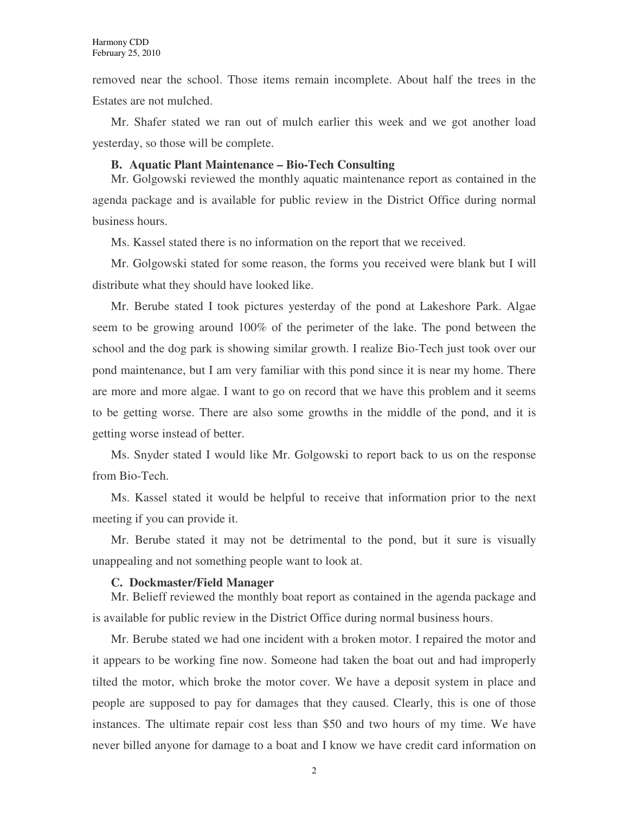removed near the school. Those items remain incomplete. About half the trees in the Estates are not mulched.

Mr. Shafer stated we ran out of mulch earlier this week and we got another load yesterday, so those will be complete.

#### **B. Aquatic Plant Maintenance – Bio-Tech Consulting**

Mr. Golgowski reviewed the monthly aquatic maintenance report as contained in the agenda package and is available for public review in the District Office during normal business hours.

Ms. Kassel stated there is no information on the report that we received.

Mr. Golgowski stated for some reason, the forms you received were blank but I will distribute what they should have looked like.

Mr. Berube stated I took pictures yesterday of the pond at Lakeshore Park. Algae seem to be growing around 100% of the perimeter of the lake. The pond between the school and the dog park is showing similar growth. I realize Bio-Tech just took over our pond maintenance, but I am very familiar with this pond since it is near my home. There are more and more algae. I want to go on record that we have this problem and it seems to be getting worse. There are also some growths in the middle of the pond, and it is getting worse instead of better.

Ms. Snyder stated I would like Mr. Golgowski to report back to us on the response from Bio-Tech.

Ms. Kassel stated it would be helpful to receive that information prior to the next meeting if you can provide it.

Mr. Berube stated it may not be detrimental to the pond, but it sure is visually unappealing and not something people want to look at.

#### **C. Dockmaster/Field Manager**

Mr. Belieff reviewed the monthly boat report as contained in the agenda package and is available for public review in the District Office during normal business hours.

Mr. Berube stated we had one incident with a broken motor. I repaired the motor and it appears to be working fine now. Someone had taken the boat out and had improperly tilted the motor, which broke the motor cover. We have a deposit system in place and people are supposed to pay for damages that they caused. Clearly, this is one of those instances. The ultimate repair cost less than \$50 and two hours of my time. We have never billed anyone for damage to a boat and I know we have credit card information on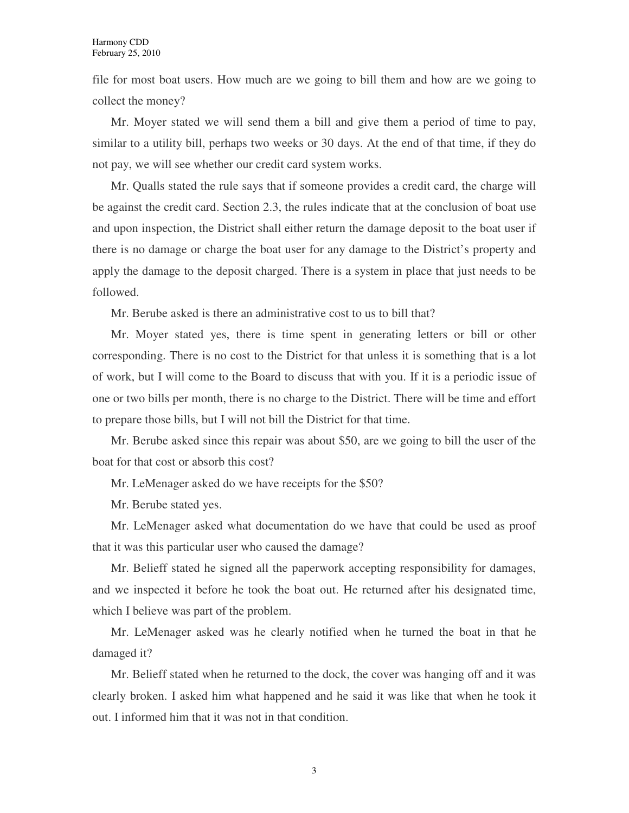file for most boat users. How much are we going to bill them and how are we going to collect the money?

Mr. Moyer stated we will send them a bill and give them a period of time to pay, similar to a utility bill, perhaps two weeks or 30 days. At the end of that time, if they do not pay, we will see whether our credit card system works.

Mr. Qualls stated the rule says that if someone provides a credit card, the charge will be against the credit card. Section 2.3, the rules indicate that at the conclusion of boat use and upon inspection, the District shall either return the damage deposit to the boat user if there is no damage or charge the boat user for any damage to the District's property and apply the damage to the deposit charged. There is a system in place that just needs to be followed.

Mr. Berube asked is there an administrative cost to us to bill that?

Mr. Moyer stated yes, there is time spent in generating letters or bill or other corresponding. There is no cost to the District for that unless it is something that is a lot of work, but I will come to the Board to discuss that with you. If it is a periodic issue of one or two bills per month, there is no charge to the District. There will be time and effort to prepare those bills, but I will not bill the District for that time.

Mr. Berube asked since this repair was about \$50, are we going to bill the user of the boat for that cost or absorb this cost?

Mr. LeMenager asked do we have receipts for the \$50?

Mr. Berube stated yes.

Mr. LeMenager asked what documentation do we have that could be used as proof that it was this particular user who caused the damage?

Mr. Belieff stated he signed all the paperwork accepting responsibility for damages, and we inspected it before he took the boat out. He returned after his designated time, which I believe was part of the problem.

Mr. LeMenager asked was he clearly notified when he turned the boat in that he damaged it?

Mr. Belieff stated when he returned to the dock, the cover was hanging off and it was clearly broken. I asked him what happened and he said it was like that when he took it out. I informed him that it was not in that condition.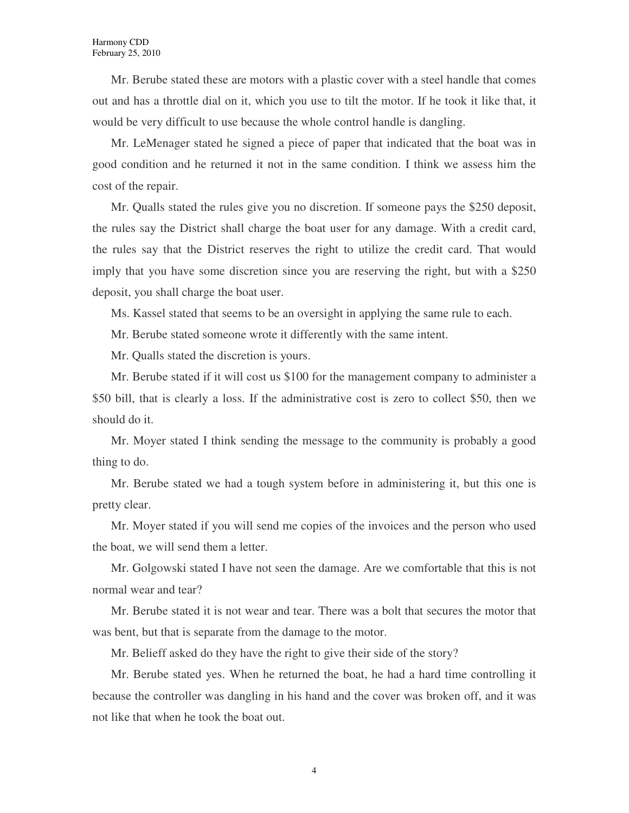Mr. Berube stated these are motors with a plastic cover with a steel handle that comes out and has a throttle dial on it, which you use to tilt the motor. If he took it like that, it would be very difficult to use because the whole control handle is dangling.

Mr. LeMenager stated he signed a piece of paper that indicated that the boat was in good condition and he returned it not in the same condition. I think we assess him the cost of the repair.

Mr. Qualls stated the rules give you no discretion. If someone pays the \$250 deposit, the rules say the District shall charge the boat user for any damage. With a credit card, the rules say that the District reserves the right to utilize the credit card. That would imply that you have some discretion since you are reserving the right, but with a \$250 deposit, you shall charge the boat user.

Ms. Kassel stated that seems to be an oversight in applying the same rule to each.

Mr. Berube stated someone wrote it differently with the same intent.

Mr. Qualls stated the discretion is yours.

Mr. Berube stated if it will cost us \$100 for the management company to administer a \$50 bill, that is clearly a loss. If the administrative cost is zero to collect \$50, then we should do it.

Mr. Moyer stated I think sending the message to the community is probably a good thing to do.

Mr. Berube stated we had a tough system before in administering it, but this one is pretty clear.

Mr. Moyer stated if you will send me copies of the invoices and the person who used the boat, we will send them a letter.

Mr. Golgowski stated I have not seen the damage. Are we comfortable that this is not normal wear and tear?

Mr. Berube stated it is not wear and tear. There was a bolt that secures the motor that was bent, but that is separate from the damage to the motor.

Mr. Belieff asked do they have the right to give their side of the story?

Mr. Berube stated yes. When he returned the boat, he had a hard time controlling it because the controller was dangling in his hand and the cover was broken off, and it was not like that when he took the boat out.

4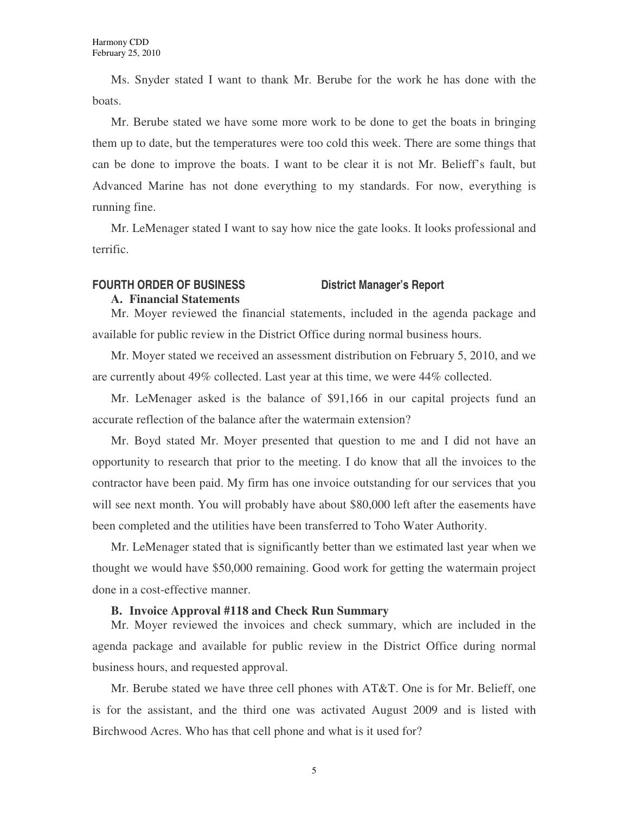Ms. Snyder stated I want to thank Mr. Berube for the work he has done with the boats.

Mr. Berube stated we have some more work to be done to get the boats in bringing them up to date, but the temperatures were too cold this week. There are some things that can be done to improve the boats. I want to be clear it is not Mr. Belieff's fault, but Advanced Marine has not done everything to my standards. For now, everything is running fine.

Mr. LeMenager stated I want to say how nice the gate looks. It looks professional and terrific.

# **FOURTH ORDER OF BUSINESS District Manager's Report**

**A. Financial Statements**

Mr. Moyer reviewed the financial statements, included in the agenda package and available for public review in the District Office during normal business hours.

Mr. Moyer stated we received an assessment distribution on February 5, 2010, and we are currently about 49% collected. Last year at this time, we were 44% collected.

Mr. LeMenager asked is the balance of \$91,166 in our capital projects fund an accurate reflection of the balance after the watermain extension?

Mr. Boyd stated Mr. Moyer presented that question to me and I did not have an opportunity to research that prior to the meeting. I do know that all the invoices to the contractor have been paid. My firm has one invoice outstanding for our services that you will see next month. You will probably have about \$80,000 left after the easements have been completed and the utilities have been transferred to Toho Water Authority.

Mr. LeMenager stated that is significantly better than we estimated last year when we thought we would have \$50,000 remaining. Good work for getting the watermain project done in a cost-effective manner.

#### **B. Invoice Approval #118 and Check Run Summary**

Mr. Moyer reviewed the invoices and check summary, which are included in the agenda package and available for public review in the District Office during normal business hours, and requested approval.

Mr. Berube stated we have three cell phones with AT&T. One is for Mr. Belieff, one is for the assistant, and the third one was activated August 2009 and is listed with Birchwood Acres. Who has that cell phone and what is it used for?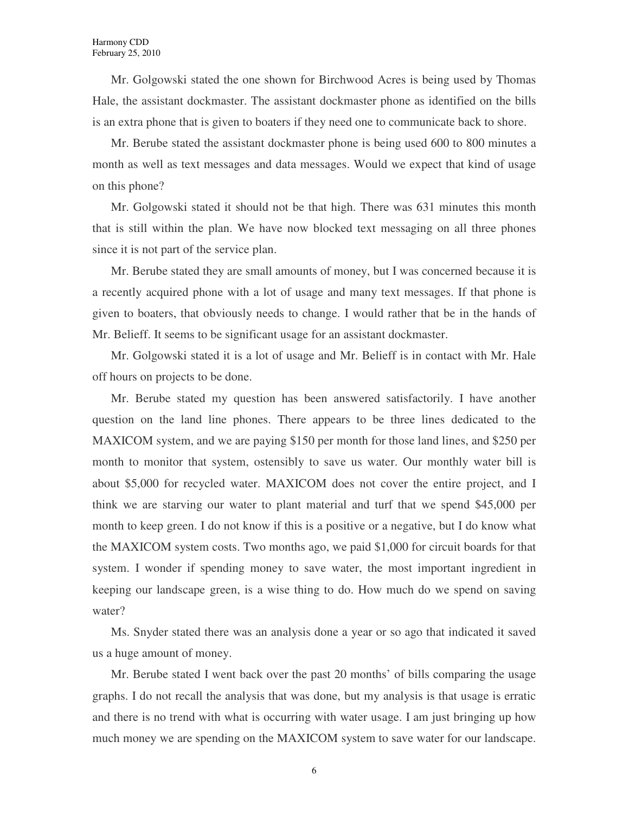Mr. Golgowski stated the one shown for Birchwood Acres is being used by Thomas Hale, the assistant dockmaster. The assistant dockmaster phone as identified on the bills is an extra phone that is given to boaters if they need one to communicate back to shore.

Mr. Berube stated the assistant dockmaster phone is being used 600 to 800 minutes a month as well as text messages and data messages. Would we expect that kind of usage on this phone?

Mr. Golgowski stated it should not be that high. There was 631 minutes this month that is still within the plan. We have now blocked text messaging on all three phones since it is not part of the service plan.

Mr. Berube stated they are small amounts of money, but I was concerned because it is a recently acquired phone with a lot of usage and many text messages. If that phone is given to boaters, that obviously needs to change. I would rather that be in the hands of Mr. Belieff. It seems to be significant usage for an assistant dockmaster.

Mr. Golgowski stated it is a lot of usage and Mr. Belieff is in contact with Mr. Hale off hours on projects to be done.

Mr. Berube stated my question has been answered satisfactorily. I have another question on the land line phones. There appears to be three lines dedicated to the MAXICOM system, and we are paying \$150 per month for those land lines, and \$250 per month to monitor that system, ostensibly to save us water. Our monthly water bill is about \$5,000 for recycled water. MAXICOM does not cover the entire project, and I think we are starving our water to plant material and turf that we spend \$45,000 per month to keep green. I do not know if this is a positive or a negative, but I do know what the MAXICOM system costs. Two months ago, we paid \$1,000 for circuit boards for that system. I wonder if spending money to save water, the most important ingredient in keeping our landscape green, is a wise thing to do. How much do we spend on saving water?

Ms. Snyder stated there was an analysis done a year or so ago that indicated it saved us a huge amount of money.

Mr. Berube stated I went back over the past 20 months' of bills comparing the usage graphs. I do not recall the analysis that was done, but my analysis is that usage is erratic and there is no trend with what is occurring with water usage. I am just bringing up how much money we are spending on the MAXICOM system to save water for our landscape.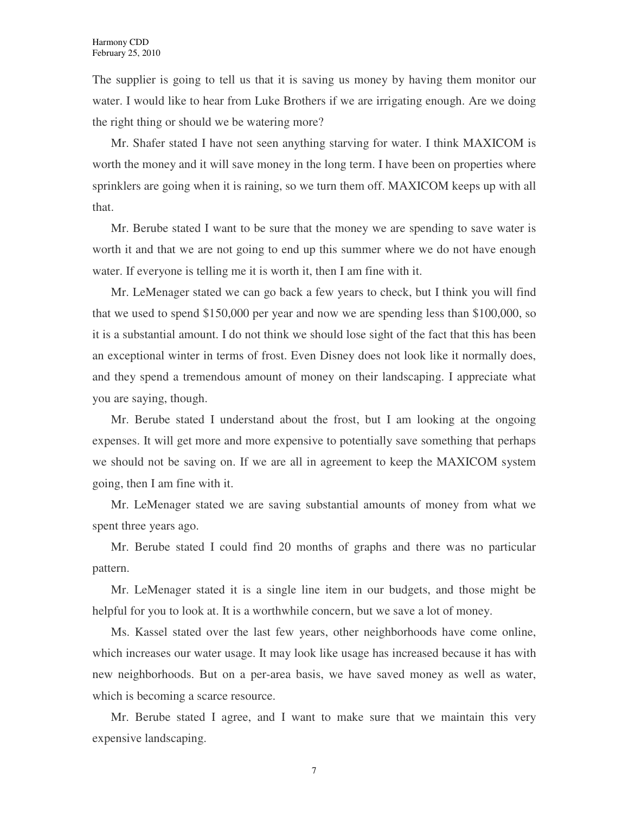The supplier is going to tell us that it is saving us money by having them monitor our water. I would like to hear from Luke Brothers if we are irrigating enough. Are we doing the right thing or should we be watering more?

Mr. Shafer stated I have not seen anything starving for water. I think MAXICOM is worth the money and it will save money in the long term. I have been on properties where sprinklers are going when it is raining, so we turn them off. MAXICOM keeps up with all that.

Mr. Berube stated I want to be sure that the money we are spending to save water is worth it and that we are not going to end up this summer where we do not have enough water. If everyone is telling me it is worth it, then I am fine with it.

Mr. LeMenager stated we can go back a few years to check, but I think you will find that we used to spend \$150,000 per year and now we are spending less than \$100,000, so it is a substantial amount. I do not think we should lose sight of the fact that this has been an exceptional winter in terms of frost. Even Disney does not look like it normally does, and they spend a tremendous amount of money on their landscaping. I appreciate what you are saying, though.

Mr. Berube stated I understand about the frost, but I am looking at the ongoing expenses. It will get more and more expensive to potentially save something that perhaps we should not be saving on. If we are all in agreement to keep the MAXICOM system going, then I am fine with it.

Mr. LeMenager stated we are saving substantial amounts of money from what we spent three years ago.

Mr. Berube stated I could find 20 months of graphs and there was no particular pattern.

Mr. LeMenager stated it is a single line item in our budgets, and those might be helpful for you to look at. It is a worthwhile concern, but we save a lot of money.

Ms. Kassel stated over the last few years, other neighborhoods have come online, which increases our water usage. It may look like usage has increased because it has with new neighborhoods. But on a per-area basis, we have saved money as well as water, which is becoming a scarce resource.

Mr. Berube stated I agree, and I want to make sure that we maintain this very expensive landscaping.

7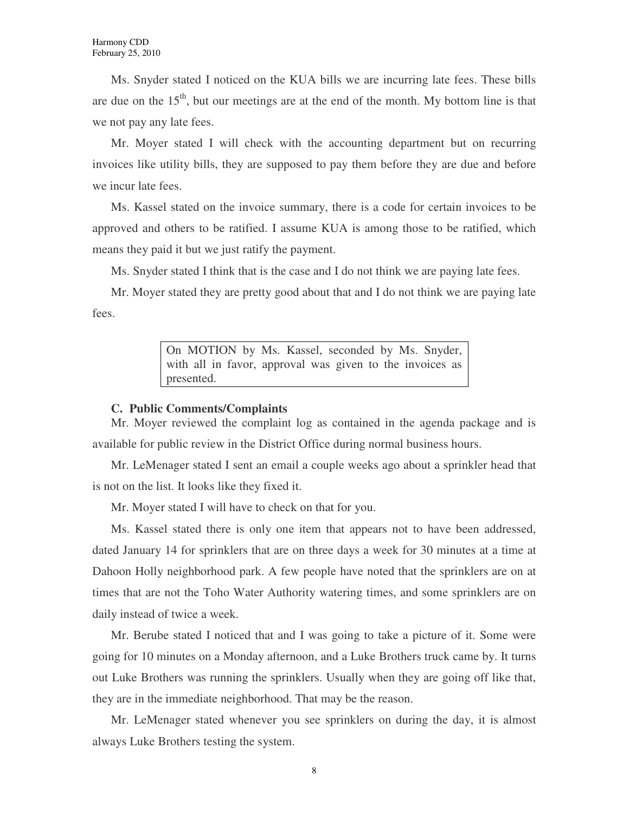Ms. Snyder stated I noticed on the KUA bills we are incurring late fees. These bills are due on the  $15<sup>th</sup>$ , but our meetings are at the end of the month. My bottom line is that we not pay any late fees.

Mr. Moyer stated I will check with the accounting department but on recurring invoices like utility bills, they are supposed to pay them before they are due and before we incur late fees.

Ms. Kassel stated on the invoice summary, there is a code for certain invoices to be approved and others to be ratified. I assume KUA is among those to be ratified, which means they paid it but we just ratify the payment.

Ms. Snyder stated I think that is the case and I do not think we are paying late fees.

Mr. Moyer stated they are pretty good about that and I do not think we are paying late fees.

> On MOTION by Ms. Kassel, seconded by Ms. Snyder, with all in favor, approval was given to the invoices as presented.

#### **C. Public Comments/Complaints**

Mr. Moyer reviewed the complaint log as contained in the agenda package and is available for public review in the District Office during normal business hours.

Mr. LeMenager stated I sent an email a couple weeks ago about a sprinkler head that is not on the list. It looks like they fixed it.

Mr. Moyer stated I will have to check on that for you.

Ms. Kassel stated there is only one item that appears not to have been addressed, dated January 14 for sprinklers that are on three days a week for 30 minutes at a time at Dahoon Holly neighborhood park. A few people have noted that the sprinklers are on at times that are not the Toho Water Authority watering times, and some sprinklers are on daily instead of twice a week.

Mr. Berube stated I noticed that and I was going to take a picture of it. Some were going for 10 minutes on a Monday afternoon, and a Luke Brothers truck came by. It turns out Luke Brothers was running the sprinklers. Usually when they are going off like that, they are in the immediate neighborhood. That may be the reason.

Mr. LeMenager stated whenever you see sprinklers on during the day, it is almost always Luke Brothers testing the system.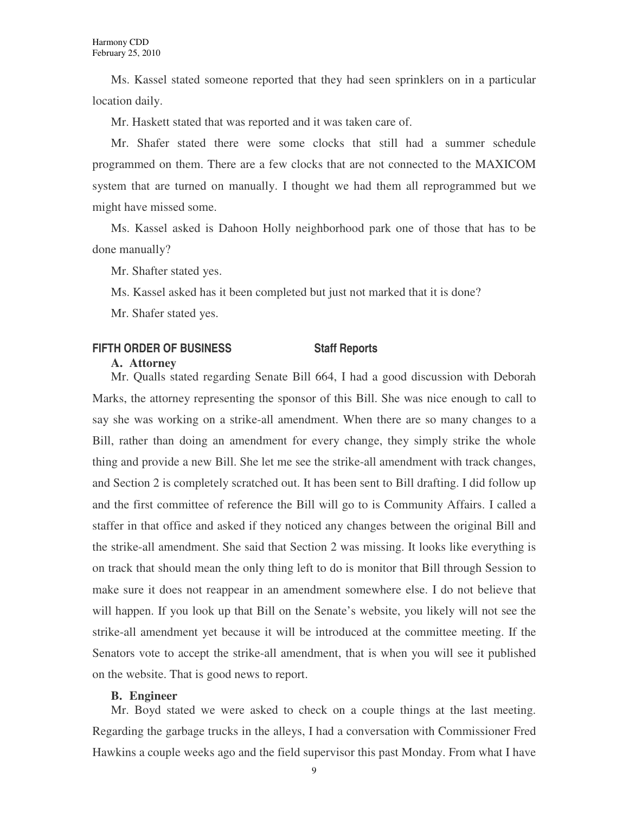Ms. Kassel stated someone reported that they had seen sprinklers on in a particular location daily.

Mr. Haskett stated that was reported and it was taken care of.

Mr. Shafer stated there were some clocks that still had a summer schedule programmed on them. There are a few clocks that are not connected to the MAXICOM system that are turned on manually. I thought we had them all reprogrammed but we might have missed some.

Ms. Kassel asked is Dahoon Holly neighborhood park one of those that has to be done manually?

Mr. Shafter stated yes.

Ms. Kassel asked has it been completed but just not marked that it is done?

Mr. Shafer stated yes.

# **FIFTH ORDER OF BUSINESS Staff Reports**

#### **A. Attorney**

Mr. Qualls stated regarding Senate Bill 664, I had a good discussion with Deborah Marks, the attorney representing the sponsor of this Bill. She was nice enough to call to say she was working on a strike-all amendment. When there are so many changes to a Bill, rather than doing an amendment for every change, they simply strike the whole thing and provide a new Bill. She let me see the strike-all amendment with track changes, and Section 2 is completely scratched out. It has been sent to Bill drafting. I did follow up and the first committee of reference the Bill will go to is Community Affairs. I called a staffer in that office and asked if they noticed any changes between the original Bill and the strike-all amendment. She said that Section 2 was missing. It looks like everything is on track that should mean the only thing left to do is monitor that Bill through Session to make sure it does not reappear in an amendment somewhere else. I do not believe that will happen. If you look up that Bill on the Senate's website, you likely will not see the strike-all amendment yet because it will be introduced at the committee meeting. If the Senators vote to accept the strike-all amendment, that is when you will see it published on the website. That is good news to report.

# **B. Engineer**

Mr. Boyd stated we were asked to check on a couple things at the last meeting. Regarding the garbage trucks in the alleys, I had a conversation with Commissioner Fred Hawkins a couple weeks ago and the field supervisor this past Monday. From what I have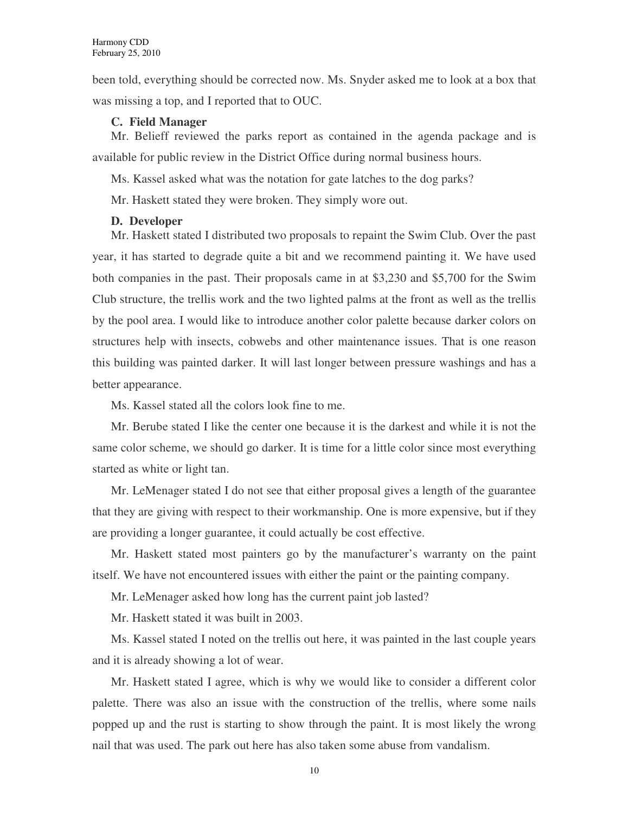been told, everything should be corrected now. Ms. Snyder asked me to look at a box that was missing a top, and I reported that to OUC.

### **C. Field Manager**

Mr. Belieff reviewed the parks report as contained in the agenda package and is available for public review in the District Office during normal business hours.

Ms. Kassel asked what was the notation for gate latches to the dog parks?

Mr. Haskett stated they were broken. They simply wore out.

# **D. Developer**

Mr. Haskett stated I distributed two proposals to repaint the Swim Club. Over the past year, it has started to degrade quite a bit and we recommend painting it. We have used both companies in the past. Their proposals came in at \$3,230 and \$5,700 for the Swim Club structure, the trellis work and the two lighted palms at the front as well as the trellis by the pool area. I would like to introduce another color palette because darker colors on structures help with insects, cobwebs and other maintenance issues. That is one reason this building was painted darker. It will last longer between pressure washings and has a better appearance.

Ms. Kassel stated all the colors look fine to me.

Mr. Berube stated I like the center one because it is the darkest and while it is not the same color scheme, we should go darker. It is time for a little color since most everything started as white or light tan.

Mr. LeMenager stated I do not see that either proposal gives a length of the guarantee that they are giving with respect to their workmanship. One is more expensive, but if they are providing a longer guarantee, it could actually be cost effective.

Mr. Haskett stated most painters go by the manufacturer's warranty on the paint itself. We have not encountered issues with either the paint or the painting company.

Mr. LeMenager asked how long has the current paint job lasted?

Mr. Haskett stated it was built in 2003.

Ms. Kassel stated I noted on the trellis out here, it was painted in the last couple years and it is already showing a lot of wear.

Mr. Haskett stated I agree, which is why we would like to consider a different color palette. There was also an issue with the construction of the trellis, where some nails popped up and the rust is starting to show through the paint. It is most likely the wrong nail that was used. The park out here has also taken some abuse from vandalism.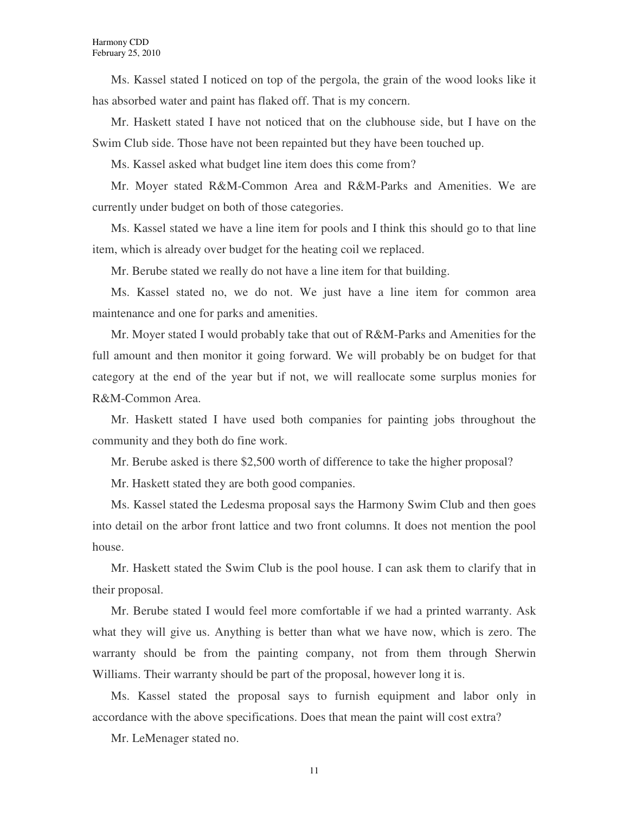Ms. Kassel stated I noticed on top of the pergola, the grain of the wood looks like it has absorbed water and paint has flaked off. That is my concern.

Mr. Haskett stated I have not noticed that on the clubhouse side, but I have on the Swim Club side. Those have not been repainted but they have been touched up.

Ms. Kassel asked what budget line item does this come from?

Mr. Moyer stated R&M-Common Area and R&M-Parks and Amenities. We are currently under budget on both of those categories.

Ms. Kassel stated we have a line item for pools and I think this should go to that line item, which is already over budget for the heating coil we replaced.

Mr. Berube stated we really do not have a line item for that building.

Ms. Kassel stated no, we do not. We just have a line item for common area maintenance and one for parks and amenities.

Mr. Moyer stated I would probably take that out of R&M-Parks and Amenities for the full amount and then monitor it going forward. We will probably be on budget for that category at the end of the year but if not, we will reallocate some surplus monies for R&M-Common Area.

Mr. Haskett stated I have used both companies for painting jobs throughout the community and they both do fine work.

Mr. Berube asked is there \$2,500 worth of difference to take the higher proposal?

Mr. Haskett stated they are both good companies.

Ms. Kassel stated the Ledesma proposal says the Harmony Swim Club and then goes into detail on the arbor front lattice and two front columns. It does not mention the pool house.

Mr. Haskett stated the Swim Club is the pool house. I can ask them to clarify that in their proposal.

Mr. Berube stated I would feel more comfortable if we had a printed warranty. Ask what they will give us. Anything is better than what we have now, which is zero. The warranty should be from the painting company, not from them through Sherwin Williams. Their warranty should be part of the proposal, however long it is.

Ms. Kassel stated the proposal says to furnish equipment and labor only in accordance with the above specifications. Does that mean the paint will cost extra?

Mr. LeMenager stated no.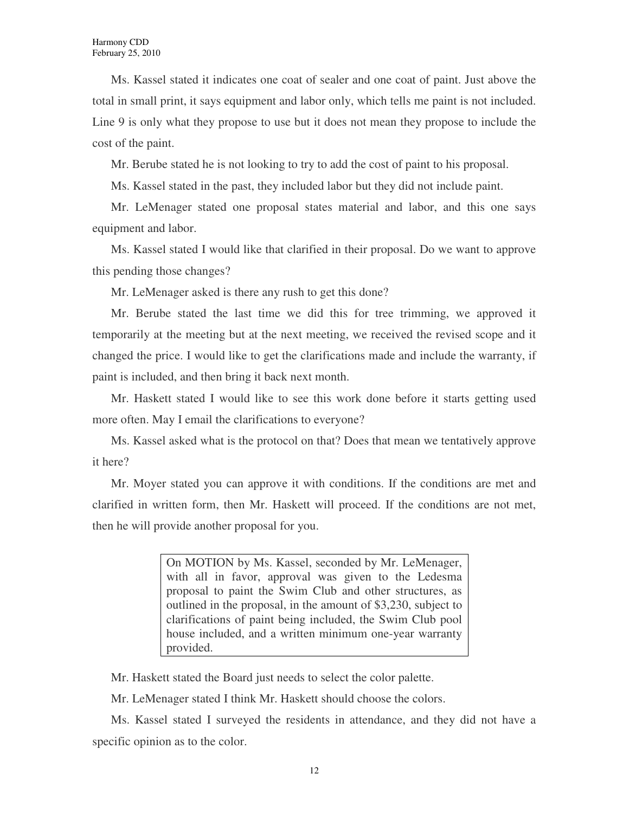Ms. Kassel stated it indicates one coat of sealer and one coat of paint. Just above the total in small print, it says equipment and labor only, which tells me paint is not included. Line 9 is only what they propose to use but it does not mean they propose to include the cost of the paint.

Mr. Berube stated he is not looking to try to add the cost of paint to his proposal.

Ms. Kassel stated in the past, they included labor but they did not include paint.

Mr. LeMenager stated one proposal states material and labor, and this one says equipment and labor.

Ms. Kassel stated I would like that clarified in their proposal. Do we want to approve this pending those changes?

Mr. LeMenager asked is there any rush to get this done?

Mr. Berube stated the last time we did this for tree trimming, we approved it temporarily at the meeting but at the next meeting, we received the revised scope and it changed the price. I would like to get the clarifications made and include the warranty, if paint is included, and then bring it back next month.

Mr. Haskett stated I would like to see this work done before it starts getting used more often. May I email the clarifications to everyone?

Ms. Kassel asked what is the protocol on that? Does that mean we tentatively approve it here?

Mr. Moyer stated you can approve it with conditions. If the conditions are met and clarified in written form, then Mr. Haskett will proceed. If the conditions are not met, then he will provide another proposal for you.

> On MOTION by Ms. Kassel, seconded by Mr. LeMenager, with all in favor, approval was given to the Ledesma proposal to paint the Swim Club and other structures, as outlined in the proposal, in the amount of \$3,230, subject to clarifications of paint being included, the Swim Club pool house included, and a written minimum one-year warranty provided.

Mr. Haskett stated the Board just needs to select the color palette.

Mr. LeMenager stated I think Mr. Haskett should choose the colors.

Ms. Kassel stated I surveyed the residents in attendance, and they did not have a specific opinion as to the color.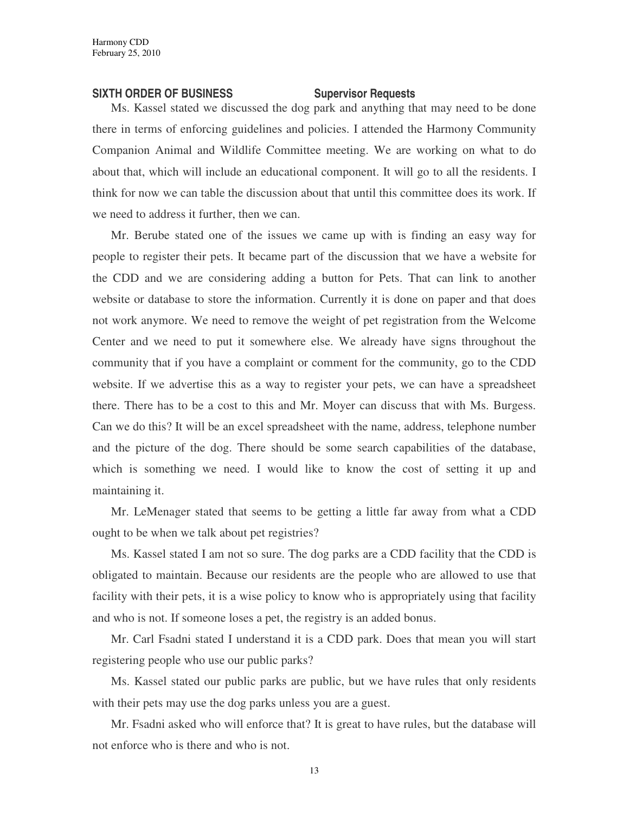### **SIXTH ORDER OF BUSINESS SUPERVISOR Requests**

Ms. Kassel stated we discussed the dog park and anything that may need to be done there in terms of enforcing guidelines and policies. I attended the Harmony Community Companion Animal and Wildlife Committee meeting. We are working on what to do about that, which will include an educational component. It will go to all the residents. I think for now we can table the discussion about that until this committee does its work. If we need to address it further, then we can.

Mr. Berube stated one of the issues we came up with is finding an easy way for people to register their pets. It became part of the discussion that we have a website for the CDD and we are considering adding a button for Pets. That can link to another website or database to store the information. Currently it is done on paper and that does not work anymore. We need to remove the weight of pet registration from the Welcome Center and we need to put it somewhere else. We already have signs throughout the community that if you have a complaint or comment for the community, go to the CDD website. If we advertise this as a way to register your pets, we can have a spreadsheet there. There has to be a cost to this and Mr. Moyer can discuss that with Ms. Burgess. Can we do this? It will be an excel spreadsheet with the name, address, telephone number and the picture of the dog. There should be some search capabilities of the database, which is something we need. I would like to know the cost of setting it up and maintaining it.

Mr. LeMenager stated that seems to be getting a little far away from what a CDD ought to be when we talk about pet registries?

Ms. Kassel stated I am not so sure. The dog parks are a CDD facility that the CDD is obligated to maintain. Because our residents are the people who are allowed to use that facility with their pets, it is a wise policy to know who is appropriately using that facility and who is not. If someone loses a pet, the registry is an added bonus.

Mr. Carl Fsadni stated I understand it is a CDD park. Does that mean you will start registering people who use our public parks?

Ms. Kassel stated our public parks are public, but we have rules that only residents with their pets may use the dog parks unless you are a guest.

Mr. Fsadni asked who will enforce that? It is great to have rules, but the database will not enforce who is there and who is not.

13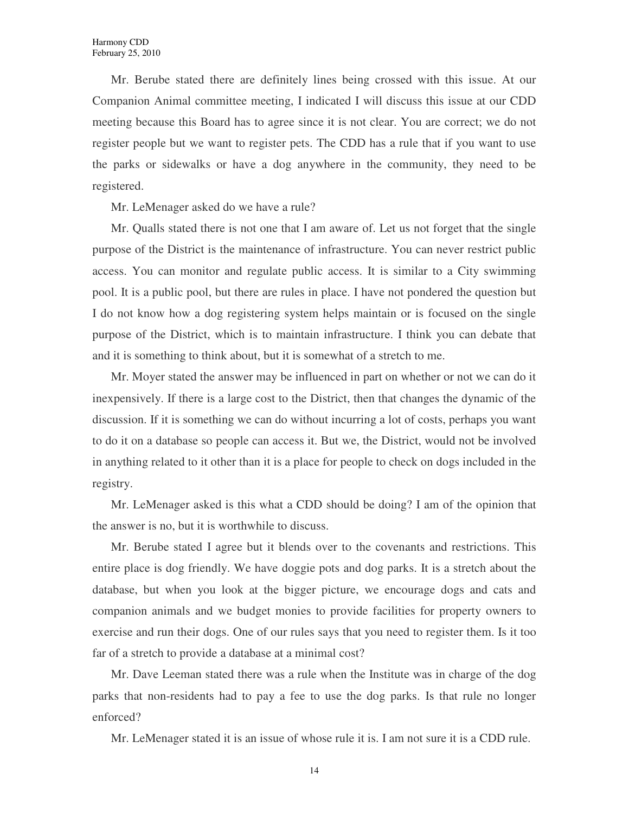Mr. Berube stated there are definitely lines being crossed with this issue. At our Companion Animal committee meeting, I indicated I will discuss this issue at our CDD meeting because this Board has to agree since it is not clear. You are correct; we do not register people but we want to register pets. The CDD has a rule that if you want to use the parks or sidewalks or have a dog anywhere in the community, they need to be registered.

Mr. LeMenager asked do we have a rule?

Mr. Qualls stated there is not one that I am aware of. Let us not forget that the single purpose of the District is the maintenance of infrastructure. You can never restrict public access. You can monitor and regulate public access. It is similar to a City swimming pool. It is a public pool, but there are rules in place. I have not pondered the question but I do not know how a dog registering system helps maintain or is focused on the single purpose of the District, which is to maintain infrastructure. I think you can debate that and it is something to think about, but it is somewhat of a stretch to me.

Mr. Moyer stated the answer may be influenced in part on whether or not we can do it inexpensively. If there is a large cost to the District, then that changes the dynamic of the discussion. If it is something we can do without incurring a lot of costs, perhaps you want to do it on a database so people can access it. But we, the District, would not be involved in anything related to it other than it is a place for people to check on dogs included in the registry.

Mr. LeMenager asked is this what a CDD should be doing? I am of the opinion that the answer is no, but it is worthwhile to discuss.

Mr. Berube stated I agree but it blends over to the covenants and restrictions. This entire place is dog friendly. We have doggie pots and dog parks. It is a stretch about the database, but when you look at the bigger picture, we encourage dogs and cats and companion animals and we budget monies to provide facilities for property owners to exercise and run their dogs. One of our rules says that you need to register them. Is it too far of a stretch to provide a database at a minimal cost?

Mr. Dave Leeman stated there was a rule when the Institute was in charge of the dog parks that non-residents had to pay a fee to use the dog parks. Is that rule no longer enforced?

Mr. LeMenager stated it is an issue of whose rule it is. I am not sure it is a CDD rule.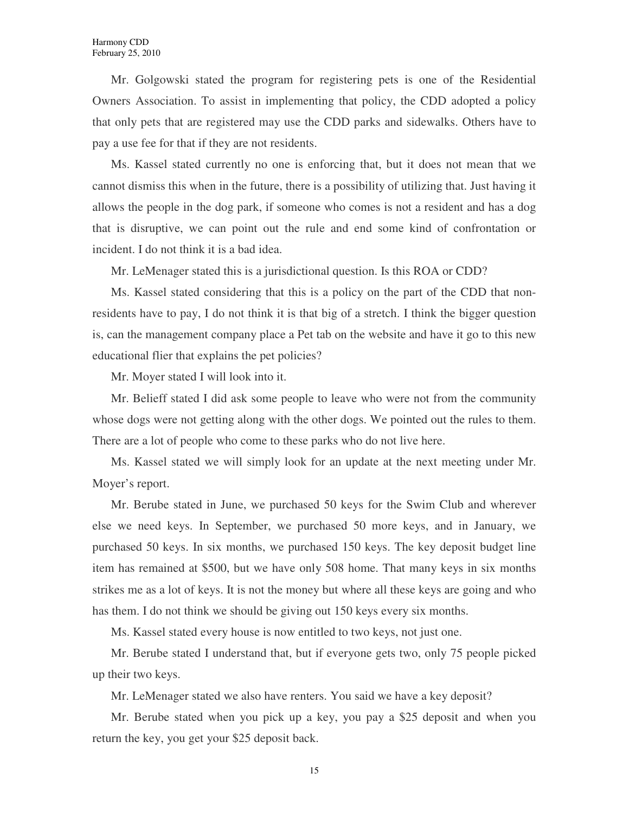Mr. Golgowski stated the program for registering pets is one of the Residential Owners Association. To assist in implementing that policy, the CDD adopted a policy that only pets that are registered may use the CDD parks and sidewalks. Others have to pay a use fee for that if they are not residents.

Ms. Kassel stated currently no one is enforcing that, but it does not mean that we cannot dismiss this when in the future, there is a possibility of utilizing that. Just having it allows the people in the dog park, if someone who comes is not a resident and has a dog that is disruptive, we can point out the rule and end some kind of confrontation or incident. I do not think it is a bad idea.

Mr. LeMenager stated this is a jurisdictional question. Is this ROA or CDD?

Ms. Kassel stated considering that this is a policy on the part of the CDD that nonresidents have to pay, I do not think it is that big of a stretch. I think the bigger question is, can the management company place a Pet tab on the website and have it go to this new educational flier that explains the pet policies?

Mr. Moyer stated I will look into it.

Mr. Belieff stated I did ask some people to leave who were not from the community whose dogs were not getting along with the other dogs. We pointed out the rules to them. There are a lot of people who come to these parks who do not live here.

Ms. Kassel stated we will simply look for an update at the next meeting under Mr. Moyer's report.

Mr. Berube stated in June, we purchased 50 keys for the Swim Club and wherever else we need keys. In September, we purchased 50 more keys, and in January, we purchased 50 keys. In six months, we purchased 150 keys. The key deposit budget line item has remained at \$500, but we have only 508 home. That many keys in six months strikes me as a lot of keys. It is not the money but where all these keys are going and who has them. I do not think we should be giving out 150 keys every six months.

Ms. Kassel stated every house is now entitled to two keys, not just one.

Mr. Berube stated I understand that, but if everyone gets two, only 75 people picked up their two keys.

Mr. LeMenager stated we also have renters. You said we have a key deposit?

Mr. Berube stated when you pick up a key, you pay a \$25 deposit and when you return the key, you get your \$25 deposit back.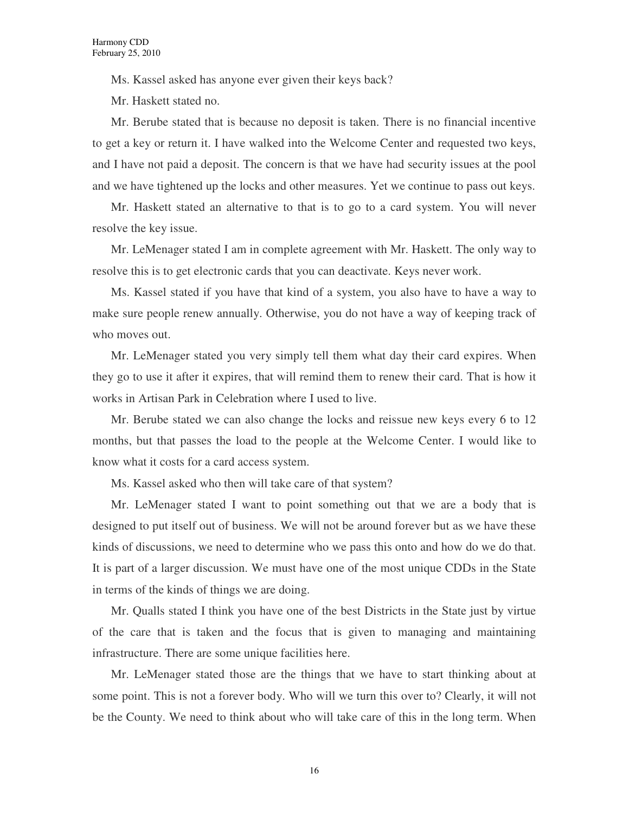Ms. Kassel asked has anyone ever given their keys back?

Mr. Haskett stated no.

Mr. Berube stated that is because no deposit is taken. There is no financial incentive to get a key or return it. I have walked into the Welcome Center and requested two keys, and I have not paid a deposit. The concern is that we have had security issues at the pool and we have tightened up the locks and other measures. Yet we continue to pass out keys.

Mr. Haskett stated an alternative to that is to go to a card system. You will never resolve the key issue.

Mr. LeMenager stated I am in complete agreement with Mr. Haskett. The only way to resolve this is to get electronic cards that you can deactivate. Keys never work.

Ms. Kassel stated if you have that kind of a system, you also have to have a way to make sure people renew annually. Otherwise, you do not have a way of keeping track of who moves out.

Mr. LeMenager stated you very simply tell them what day their card expires. When they go to use it after it expires, that will remind them to renew their card. That is how it works in Artisan Park in Celebration where I used to live.

Mr. Berube stated we can also change the locks and reissue new keys every 6 to 12 months, but that passes the load to the people at the Welcome Center. I would like to know what it costs for a card access system.

Ms. Kassel asked who then will take care of that system?

Mr. LeMenager stated I want to point something out that we are a body that is designed to put itself out of business. We will not be around forever but as we have these kinds of discussions, we need to determine who we pass this onto and how do we do that. It is part of a larger discussion. We must have one of the most unique CDDs in the State in terms of the kinds of things we are doing.

Mr. Qualls stated I think you have one of the best Districts in the State just by virtue of the care that is taken and the focus that is given to managing and maintaining infrastructure. There are some unique facilities here.

Mr. LeMenager stated those are the things that we have to start thinking about at some point. This is not a forever body. Who will we turn this over to? Clearly, it will not be the County. We need to think about who will take care of this in the long term. When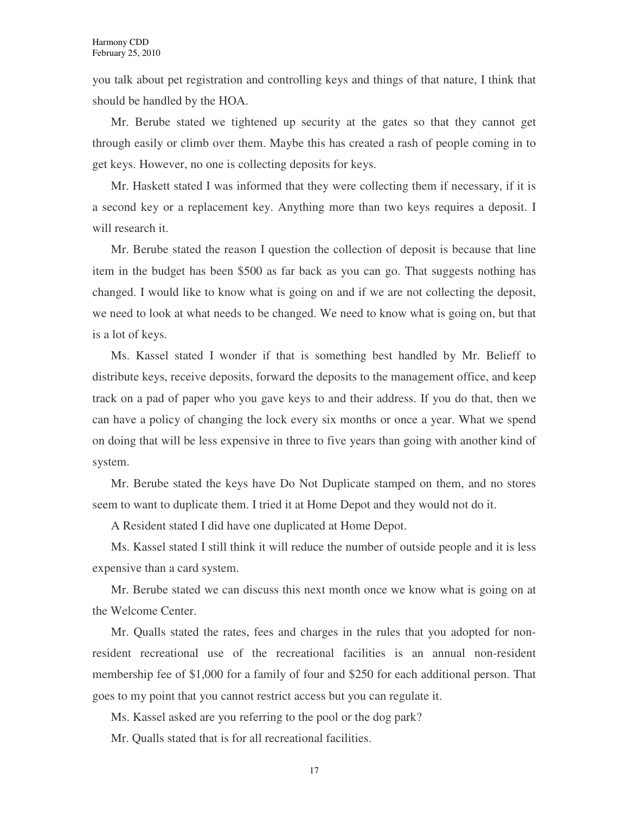you talk about pet registration and controlling keys and things of that nature, I think that should be handled by the HOA.

Mr. Berube stated we tightened up security at the gates so that they cannot get through easily or climb over them. Maybe this has created a rash of people coming in to get keys. However, no one is collecting deposits for keys.

Mr. Haskett stated I was informed that they were collecting them if necessary, if it is a second key or a replacement key. Anything more than two keys requires a deposit. I will research it.

Mr. Berube stated the reason I question the collection of deposit is because that line item in the budget has been \$500 as far back as you can go. That suggests nothing has changed. I would like to know what is going on and if we are not collecting the deposit, we need to look at what needs to be changed. We need to know what is going on, but that is a lot of keys.

Ms. Kassel stated I wonder if that is something best handled by Mr. Belieff to distribute keys, receive deposits, forward the deposits to the management office, and keep track on a pad of paper who you gave keys to and their address. If you do that, then we can have a policy of changing the lock every six months or once a year. What we spend on doing that will be less expensive in three to five years than going with another kind of system.

Mr. Berube stated the keys have Do Not Duplicate stamped on them, and no stores seem to want to duplicate them. I tried it at Home Depot and they would not do it.

A Resident stated I did have one duplicated at Home Depot.

Ms. Kassel stated I still think it will reduce the number of outside people and it is less expensive than a card system.

Mr. Berube stated we can discuss this next month once we know what is going on at the Welcome Center.

Mr. Qualls stated the rates, fees and charges in the rules that you adopted for nonresident recreational use of the recreational facilities is an annual non-resident membership fee of \$1,000 for a family of four and \$250 for each additional person. That goes to my point that you cannot restrict access but you can regulate it.

Ms. Kassel asked are you referring to the pool or the dog park?

Mr. Qualls stated that is for all recreational facilities.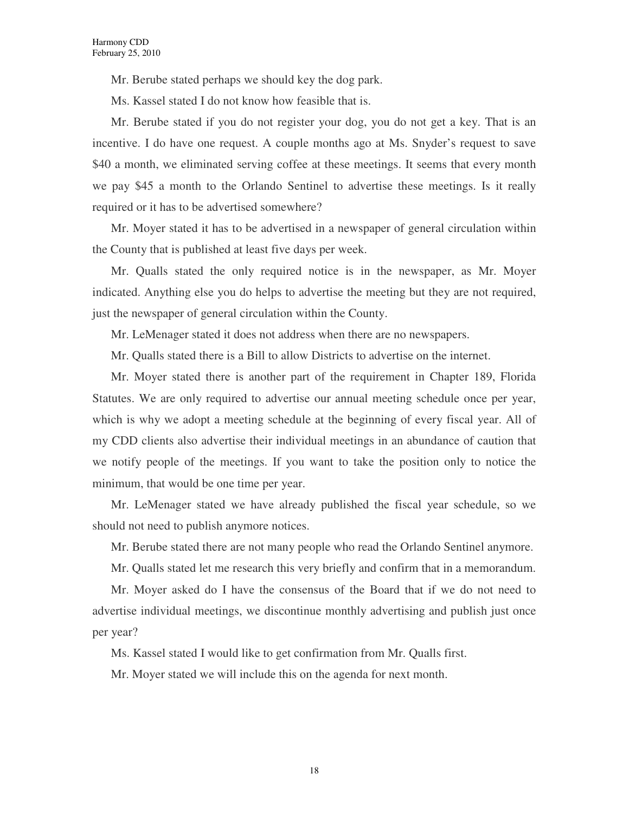Mr. Berube stated perhaps we should key the dog park.

Ms. Kassel stated I do not know how feasible that is.

Mr. Berube stated if you do not register your dog, you do not get a key. That is an incentive. I do have one request. A couple months ago at Ms. Snyder's request to save \$40 a month, we eliminated serving coffee at these meetings. It seems that every month we pay \$45 a month to the Orlando Sentinel to advertise these meetings. Is it really required or it has to be advertised somewhere?

Mr. Moyer stated it has to be advertised in a newspaper of general circulation within the County that is published at least five days per week.

Mr. Qualls stated the only required notice is in the newspaper, as Mr. Moyer indicated. Anything else you do helps to advertise the meeting but they are not required, just the newspaper of general circulation within the County.

Mr. LeMenager stated it does not address when there are no newspapers.

Mr. Qualls stated there is a Bill to allow Districts to advertise on the internet.

Mr. Moyer stated there is another part of the requirement in Chapter 189, Florida Statutes. We are only required to advertise our annual meeting schedule once per year, which is why we adopt a meeting schedule at the beginning of every fiscal year. All of my CDD clients also advertise their individual meetings in an abundance of caution that we notify people of the meetings. If you want to take the position only to notice the minimum, that would be one time per year.

Mr. LeMenager stated we have already published the fiscal year schedule, so we should not need to publish anymore notices.

Mr. Berube stated there are not many people who read the Orlando Sentinel anymore.

Mr. Qualls stated let me research this very briefly and confirm that in a memorandum.

Mr. Moyer asked do I have the consensus of the Board that if we do not need to advertise individual meetings, we discontinue monthly advertising and publish just once per year?

Ms. Kassel stated I would like to get confirmation from Mr. Qualls first.

Mr. Moyer stated we will include this on the agenda for next month.